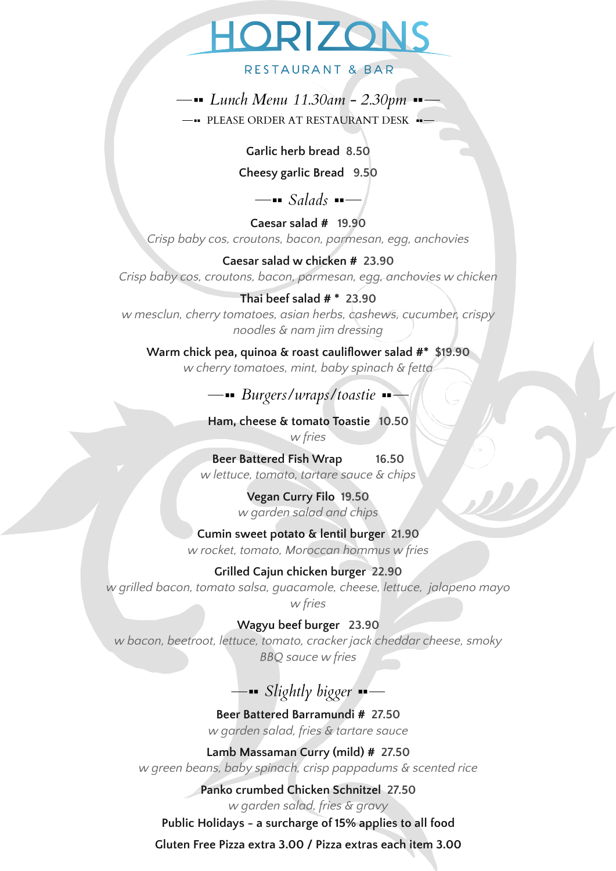# HORIZONS

#### RESTAURANT & BAR

*Lunch Menu 11.30am - 2.30pm* PLEASE ORDER AT RESTAURANT DESK .

# **Garlic herb bread 8.50**

**Cheesy garlic Bread 9.50**

—**■** *Salads* ■—

**Caesar salad # 19.90** *Crisp baby cos, croutons, bacon, parmesan, egg, anchovies*

**Caesar salad w chicken # 23.90** *Crisp baby cos, croutons, bacon, parmesan, egg, anchovies w chicken*

# **Thai beef salad # \* 23.90**

*w mesclun, cherry tomatoes, asian herbs, cashews, cucumber, crispy noodles & nam jim dressing*

**Warm chick pea, quinoa & roast cauliflower salad #\* \$19.90** *w cherry tomatoes, mint, baby spinach & fetta*

# *Burgers/wraps/toastie*

**Ham, cheese & tomato Toastie 10.50** *w fries*

**Beer Battered Fish Wrap 16.50** *w lettuce, tomato, tartare sauce & chips*

> **Vegan Curry Filo 19.50** *w garden salad and chips*

**Cumin sweet potato & lentil burger 21.90** *w rocket, tomato, Moroccan hommus w fries*

**Grilled Cajun chicken burger 22.90** *w grilled bacon, tomato salsa, guacamole, cheese, lettuce, jalapeno mayo w fries*

**Wagyu beef burger 23.90** *w bacon, beetroot, lettuce, tomato, cracker jack cheddar cheese, smoky*

*BBQ sauce w fries*

# *Slightly bigger*

**Beer Battered Barramundi # 27.50** *w garden salad, fries & tartare sauce*

**Lamb Massaman Curry (mild) # 27.50** *w green beans, baby spinach, crisp pappadums & scented rice*

> **Panko crumbed Chicken Schnitzel 27.50** *w garden salad, fries & gravy*

**Public Holidays - a surcharge of 15% applies to all food**

**Gluten Free Pizza extra 3.00 / Pizza extras each item 3.00**